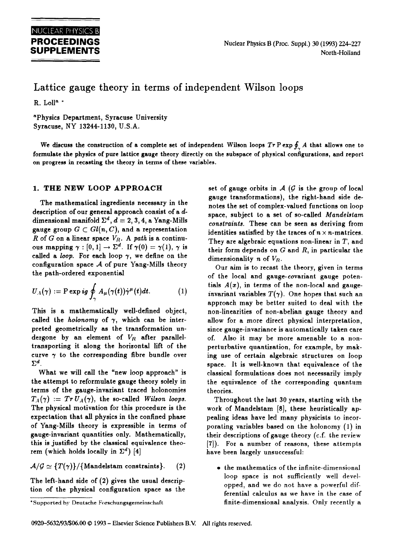# Lattice gauge theory in terms of independent Wilson loops

R. Lolla  $*$ 

aPhysics Department, Syracuse University Syracuse, NY 13244-1130, U.S.A.

We discuss the construction of a complete set of independent Wilson loops  $Tr P \exp \oint_{\gamma} A$  that allows one to formulate the physics of pure lattice gauge theory directly on the subspace of physical configurations, and report on progress in recasting the theory in terms of these variables.

## 1. THE NEW LOOP APPROACH

The mathematical ingredients necessary in the description of our general approach consist of a ddimensional manifold  $\Sigma^d$ ,  $d = 2, 3, 4$ , a Yang-Mills gauge group  $G \subset Gl(n, C)$ , and a representation  $R$  of  $G$  on a linear space  $V_R$ . A path is a continuous mapping  $\gamma : [0, 1] \to \Sigma^d$ . If  $\gamma(0) = \gamma(1)$ ,  $\gamma$  is called a *loop*. For each loop  $\gamma$ , we define on the configuration space  $A$  of pure Yang-Mills theory the path-ordered exponential

$$
U_A(\gamma) := \mathrm{P} \exp i g \oint_\gamma A_\mu(\gamma(t)) \dot{\gamma}^\mu(t) dt. \tag{1}
$$

This is a mathematically well-defined object, called the *holonomy* of  $\gamma$ , which can be interpreted geometrically as the transformation undergone by an element of *Vn* after paralleltransporting it along the horizontal lift of the curve  $\gamma$  to the corresponding fibre bundle over  $\Sigma^d$ .

What we will call the "new loop approach" is the attempt to reformulate gauge theory solely in terms of the gauge-invariant traced holonomies  $T_A(\gamma) := Tr U_A(\gamma)$ , the so-called *Wilson loops.* The physical motivation for this procedure is the expectation that all physics in the confined phase of Yang-Mills theory is expressible in terms of gauge-invariant quantities only. Mathematically, this is justified by the classical equivalence theorem (which holds locally in  $\Sigma^d$ ) [4]

 $\mathcal{A}/\mathcal{G} \simeq \{T(\gamma)\}/\{\text{Mandelstam constraints}\}.$  (2)

The left-hand side of (2) gives the usual description of the physical configuration space as the

\*Supported by Deutsche Forschungsgemeinschaft

set of gauge orbits in  $A$  ( $G$  is the group of local gauge transformations), the right-hand side denotes the set of complex-valued functions on loop space, subject to a set of so-called *Mandelstam constraints.* These can be seen as deriving from identities satisfied by the traces of  $n \times n$ -matrices. They are algebraic equations non-linear in  $T$ , and their form depends on  $G$  and  $R$ , in particular the dimensionality n of  $V_R$ .

Our aim is to recast the tbeory, given in terms of the local and gauge-covariant gauge potentials  $A(x)$ , in terms of the non-local and gaugeinvariant variables  $T(\gamma)$ . One hopes that such an approach may be better suited to deal with the non-linearities of non-abelian gauge theory and allow for a more direct physical interpretation, since gauge-invariance is automatically taken care of. Also it may be more amenable to a nonperturbative quantization, for example, by making use of certain algebraic structures on loop space. It is well-known that equivalence of the classical formulations does not necessarily imply the equivalence of the corresponding quantum theories.

Throughout the last 30 years, starting with the work of Mandelstam [8], these heuristically appealing ideas have led many physicists to incorporating variables based on the holonomy (1) in their descriptions of gauge theory (c.f. the review [7]). For a number of reasons, these attempts have been largely unsuccessful:

the mathematics of the infinite-dimensional loop space is not sufficiently well developped, and we do not have a powerfid differential calculus as we have in the case of finite-dimensional analysis. Only recently a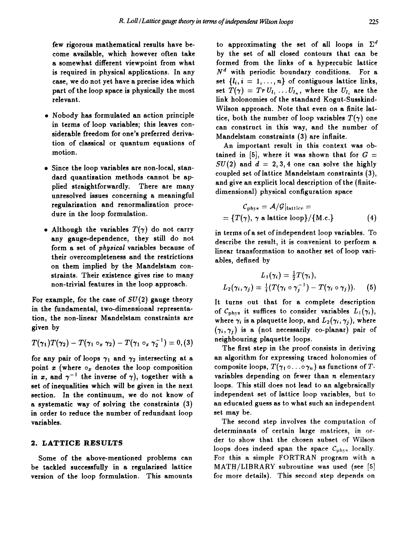few rigorous mathematical results have become available, which however often take a somewhat different viewpoint from what is required in physical applications. In any case, we do not yet have a precise idea which part of the loop space is physically the most relevant.

- Nobody has formulated an action principle in terms of loop variables; this leaves considerable freedom for one's preferred derivation of classical or quantum equations of motion.
- Since the loop variables are non-local, standard quantization methods cannot be applied straightforwardly. There are many unresolved issues concerning a meaningful regularization and renormalization procedure in the loop formulation.
- Although the variables  $T(\gamma)$  do not carry any gauge-dependence, they still do not form a set of *physical* variables because of their overcompleteness and the restrictions on them implied by the Mandelstam constraints. Their existence gives rise to many non-trivial features in the loop approach.

For example, for the case of  $SU(2)$  gauge theory in the fundamental, two-dimensional representation, the non-linear Mandelstam constraints are given by

$$
T(\gamma_1)T(\gamma_2)-T(\gamma_1\circ_x\gamma_2)-T(\gamma_1\circ_x\gamma_2^{-1})=0,(3)
$$

for any pair of loops  $\gamma_1$  and  $\gamma_2$  intersecting at a point  $x$  (where  $\circ_x$  denotes the loop composition in x, and  $\gamma^{-1}$  the inverse of  $\gamma$ ), together with a set of inequalities which will be given in the next section. In the continuum, we do not know of a systematic way of solving the constraints (3) in order to reduce the number of redundant loop variables.

#### 2. LATTICE **RESULTS**

Some of the above-mentioned problems can be tackled successfully in a regularized lattice version of the loop formulation. This amounts to approximating the set of all loops in  $\Sigma^d$ by the set of all closed contours that can be formed from the links of a hypercubic lattice  $N<sup>d</sup>$  with periodic boundary conditions. For a set  $\{l_i, i = 1, ..., n\}$  of contiguous lattice links, set  $T(\gamma) = Tr U_{l_1} \ldots U_{l_n}$ , where the  $U_{l_i}$  are the link holonomies of the standard Kogut-Susskind-Wilson approach. Note that even on a finite lattice, both the number of loop variables  $T(\gamma)$  one can construct in this way, and the number of Mandelstam constraints (3) are infinite.

An important result in this context was obtained in [5], where it was shown that for  $G =$  $SU(2)$  and  $d = 2, 3, 4$  one can solve the highly coupled set of lattice Mandelstam constraints (3), and give an explicit local description of the (finitedimensional) physical configuration space

$$
C_{\text{phys}} = \mathcal{A}/\mathcal{G}|_{\text{lattice}} =
$$
  
= { $T(\gamma)$ ,  $\gamma$  a lattice loop}/{M.c.} (4)

in terms of a set of independent loop variables. To describe the result, it is convenient to perform a linear transformation to another set of loop variables, defined by

$$
L_1(\gamma_i) = \frac{1}{2}T(\gamma_i),
$$
  
\n
$$
L_2(\gamma_i, \gamma_j) = \frac{1}{4}(T(\gamma_i \circ \gamma_j^{-1}) - T(\gamma_i \circ \gamma_j)).
$$
 (5)

It turns out that for a complete description of  $C_{\text{phys}}$  it suffices to consider variables  $L_1(\gamma_i)$ , where  $\gamma_i$  is a plaquette loop, and  $L_2(\gamma_i, \gamma_j)$ , where  $(\gamma_i, \gamma_j)$  is a (not necessarily co-planar) pair of neighbouring plaquette loops.

The first step in the proof consists in deriving an algorithm for expressing traced holonomies of composite loops,  $T(\gamma_1 \circ \ldots \circ \gamma_n)$  as functions of Tvariables depending on fewer than  $n$  elementary loops. This still does not lead to an algebraically independent set of lattice loop variables, but to an educated guess as to what such an independent set may be.

The second step involves the computation of determinants of certain large matrices, in order to show that the chosen subset of Wilson loops does indeed span the space  $\mathcal{C}_{\text{phys}}$  locally. For this a simple FORTRAN program with a MATH/LIBRARY subroutine was used (see [5] for more details). This second step depends on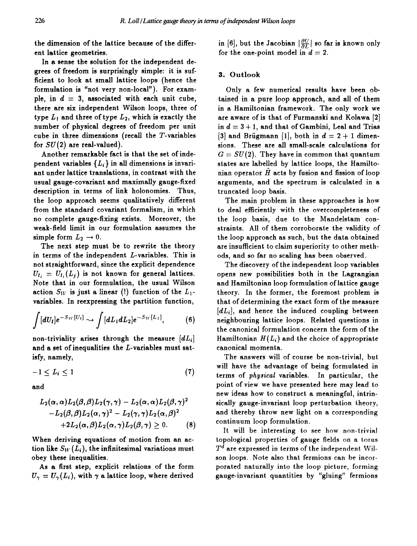the dimension of the lattice because of the different lattice geometries.

In a sense the solution for the independent degrees of freedom is surprisingly simple: it is sufficient to look at small lattice loops (hence the formulation is "not very non-local"). For example, in  $d = 3$ , associated with each unit cube, there are six independent Wilson loops, three of type  $L_1$  and three of type  $L_2$ , which is exactly the number of physical degrees of freedom per unit cube in three dimensions (recall the T-variables for  $SU(2)$  are real-valued).

Another remarkable fact is that the set of independent variables  $\{L_i\}$  in all dimensions is invariant under lattice translations, in contrast with the usual gauge-covariant and maximally gauge-fixed description in terms of link holonomies. Thus, the loop approach seems qualitatively different from the standard covariant formalism, in which no complete gauge-fixing exists. Moreover, the weak-field limit in our formulation assumes the simple form  $L_2 \rightarrow 0$ .

The next step must be to rewrite the theory in terms of the independent L-variables. This is not straightforward, since the explicit dependence  $U_{l_i} = U_{l_i}(L_i)$  is not known for general lattices. Note that in our formulation, the usual Wilson action  $S_W$  is just a linear (!) function of the  $L_1$ variables. In reexpressing the partition function,

$$
\int [dU_l] e^{-S_W[U_l]} \rightsquigarrow \int [dL_1 dL_2] e^{-S_W[L_1]}, \qquad (6)
$$

non-triviality arises through the measure *[dLi]*  and a set of inequalities the L-variables must satisfy, namely,

$$
-1 \le L_i \le 1 \tag{7}
$$

and

$$
\begin{aligned} &L_2(\alpha,\alpha)L_2(\beta,\beta)L_2(\gamma,\gamma)-L_2(\alpha,\alpha)L_2(\beta,\gamma)^2 \\&-L_2(\beta,\beta)L_2(\alpha,\gamma)^2-L_2(\gamma,\gamma)L_2(\alpha,\beta)^2 \\&+2L_2(\alpha,\beta)L_2(\alpha,\gamma)L_2(\beta,\gamma)\geq 0. \end{aligned} \eqno{(8)}
$$

When deriving equations of motion from an action like  $S_W(L_i)$ , the infinitesimal variations must obey these inequalities.

As a first step, explicit relations of the form  $U_{\gamma} = U_{\gamma}(L_i)$ , with  $\gamma$  a lattice loop, where derived

in [6], but the Jacobian  $\left|\frac{\partial U}{\partial L}\right|$  so far is known only for the one-point model in  $d = 2$ .

#### 3. Outlook

Only a few numerical results have been obtained in a pure loop approach, and all of them in a Hamiltonian framework. The only work we are aware of is that of Furmanski and Kolawa [2] in  $d = 3 + 1$ , and that of Gambini, Leal and Trias [3] and Brügmann [1], both in  $d = 2 + 1$  dimensions. These are all small-scale calculations for  $G = SU(2)$ . They have in common that quantum states are labelled by lattice loops, the Hamiltonian operator  $\hat{H}$  acts by fusion and fission of loop arguments, and the spectrum is calculated in a truncated loop basis.

The main problem in these approaches is how to deal efficiently with the overcompleteness of the loop basis, due to the Mandelstam constraints. All of them corroborate the validity of the loop approach as such, but the data obtained are insufficient to claim superiority to other methods, and so far no scaling has been observed.

The discovery of the independent loop variables opens new possibilities both in the Lagrangian and Hamiltonian loop formulation of lattice gauge theory. In the former, the foremost problem is that of determining the exact form of the measure *[dLi],* and hence the induced coupling between neighbouring lattice loops. Related questions in the canonical formulation concern the form of the Hamiltonian  $H(L_i)$  and the choice of appropriate canonical momenta.

The answers will of course be non-trivial, but will have the advantage of being formulated in terms of *physical* variables. In particular, the point of view we have presented here may lead to new ideas how to construct a meaningful, intrinsically gauge-invariant loop perturbation theory, and thereby throw new light on a corresponding continuum loop formulation.

It will be interesting to see how non-trivial topological properties of gauge fields on a torus  $T^d$  are expressed in terms of the independent Wilson loops. Note also that fermions can be incorporated naturally into the loop picture, forming gauge-invariant quantities by "gluing" fermions